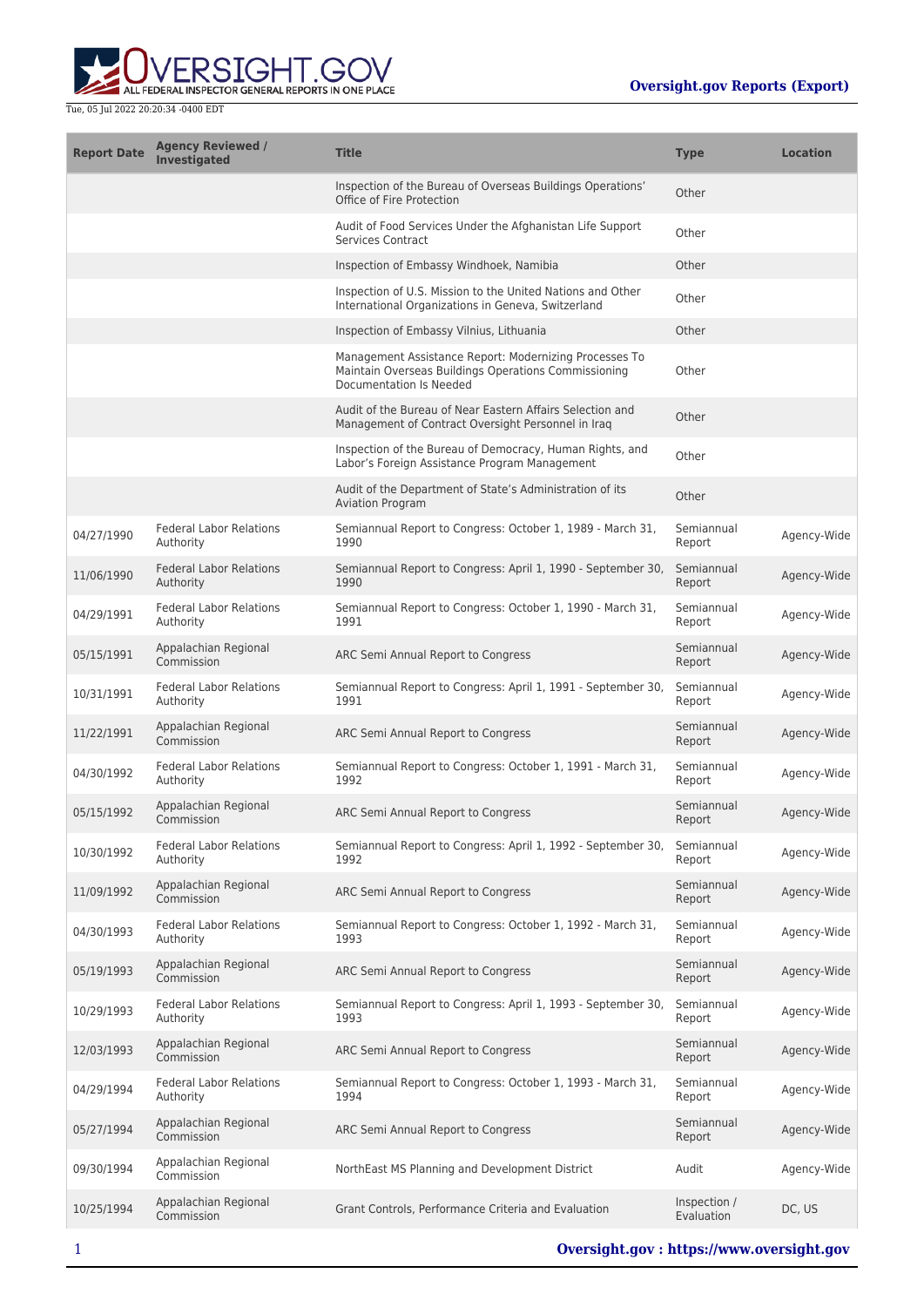

| <b>Report Date</b> | <b>Agency Reviewed /</b><br><b>Investigated</b> | <b>Title</b>                                                                                                                              | <b>Type</b>                | <b>Location</b> |
|--------------------|-------------------------------------------------|-------------------------------------------------------------------------------------------------------------------------------------------|----------------------------|-----------------|
|                    |                                                 | Inspection of the Bureau of Overseas Buildings Operations'<br>Office of Fire Protection                                                   | Other                      |                 |
|                    |                                                 | Audit of Food Services Under the Afghanistan Life Support<br><b>Services Contract</b>                                                     | Other                      |                 |
|                    |                                                 | Inspection of Embassy Windhoek, Namibia                                                                                                   | Other                      |                 |
|                    |                                                 | Inspection of U.S. Mission to the United Nations and Other<br>International Organizations in Geneva, Switzerland                          | Other                      |                 |
|                    |                                                 | Inspection of Embassy Vilnius, Lithuania                                                                                                  | Other                      |                 |
|                    |                                                 | Management Assistance Report: Modernizing Processes To<br>Maintain Overseas Buildings Operations Commissioning<br>Documentation Is Needed | Other                      |                 |
|                    |                                                 | Audit of the Bureau of Near Eastern Affairs Selection and<br>Management of Contract Oversight Personnel in Iraq                           | Other                      |                 |
|                    |                                                 | Inspection of the Bureau of Democracy, Human Rights, and<br>Labor's Foreign Assistance Program Management                                 | Other                      |                 |
|                    |                                                 | Audit of the Department of State's Administration of its<br><b>Aviation Program</b>                                                       | Other                      |                 |
| 04/27/1990         | <b>Federal Labor Relations</b><br>Authority     | Semiannual Report to Congress: October 1, 1989 - March 31,<br>1990                                                                        | Semiannual<br>Report       | Agency-Wide     |
| 11/06/1990         | <b>Federal Labor Relations</b><br>Authority     | Semiannual Report to Congress: April 1, 1990 - September 30,<br>1990                                                                      | Semiannual<br>Report       | Agency-Wide     |
| 04/29/1991         | <b>Federal Labor Relations</b><br>Authority     | Semiannual Report to Congress: October 1, 1990 - March 31,<br>1991                                                                        | Semiannual<br>Report       | Agency-Wide     |
| 05/15/1991         | Appalachian Regional<br>Commission              | ARC Semi Annual Report to Congress                                                                                                        | Semiannual<br>Report       | Agency-Wide     |
| 10/31/1991         | <b>Federal Labor Relations</b><br>Authority     | Semiannual Report to Congress: April 1, 1991 - September 30,<br>1991                                                                      | Semiannual<br>Report       | Agency-Wide     |
| 11/22/1991         | Appalachian Regional<br>Commission              | ARC Semi Annual Report to Congress                                                                                                        | Semiannual<br>Report       | Agency-Wide     |
| 04/30/1992         | <b>Federal Labor Relations</b><br>Authority     | Semiannual Report to Congress: October 1, 1991 - March 31,<br>1992                                                                        | Semiannual<br>Report       | Agency-Wide     |
| 05/15/1992         | Appalachian Regional<br>Commission              | ARC Semi Annual Report to Congress                                                                                                        | Semiannual<br>Report       | Agency-Wide     |
| 10/30/1992         | <b>Federal Labor Relations</b><br>Authority     | Semiannual Report to Congress: April 1, 1992 - September 30,<br>1992                                                                      | Semiannual<br>Report       | Agency-Wide     |
| 11/09/1992         | Appalachian Regional<br>Commission              | ARC Semi Annual Report to Congress                                                                                                        | Semiannual<br>Report       | Agency-Wide     |
| 04/30/1993         | <b>Federal Labor Relations</b><br>Authority     | Semiannual Report to Congress: October 1, 1992 - March 31,<br>1993                                                                        | Semiannual<br>Report       | Agency-Wide     |
| 05/19/1993         | Appalachian Regional<br>Commission              | ARC Semi Annual Report to Congress                                                                                                        | Semiannual<br>Report       | Agency-Wide     |
| 10/29/1993         | <b>Federal Labor Relations</b><br>Authority     | Semiannual Report to Congress: April 1, 1993 - September 30,<br>1993                                                                      | Semiannual<br>Report       | Agency-Wide     |
| 12/03/1993         | Appalachian Regional<br>Commission              | ARC Semi Annual Report to Congress                                                                                                        | Semiannual<br>Report       | Agency-Wide     |
| 04/29/1994         | <b>Federal Labor Relations</b><br>Authority     | Semiannual Report to Congress: October 1, 1993 - March 31,<br>1994                                                                        | Semiannual<br>Report       | Agency-Wide     |
| 05/27/1994         | Appalachian Regional<br>Commission              | ARC Semi Annual Report to Congress                                                                                                        | Semiannual<br>Report       | Agency-Wide     |
| 09/30/1994         | Appalachian Regional<br>Commission              | NorthEast MS Planning and Development District                                                                                            | Audit                      | Agency-Wide     |
| 10/25/1994         | Appalachian Regional<br>Commission              | Grant Controls, Performance Criteria and Evaluation                                                                                       | Inspection /<br>Evaluation | DC, US          |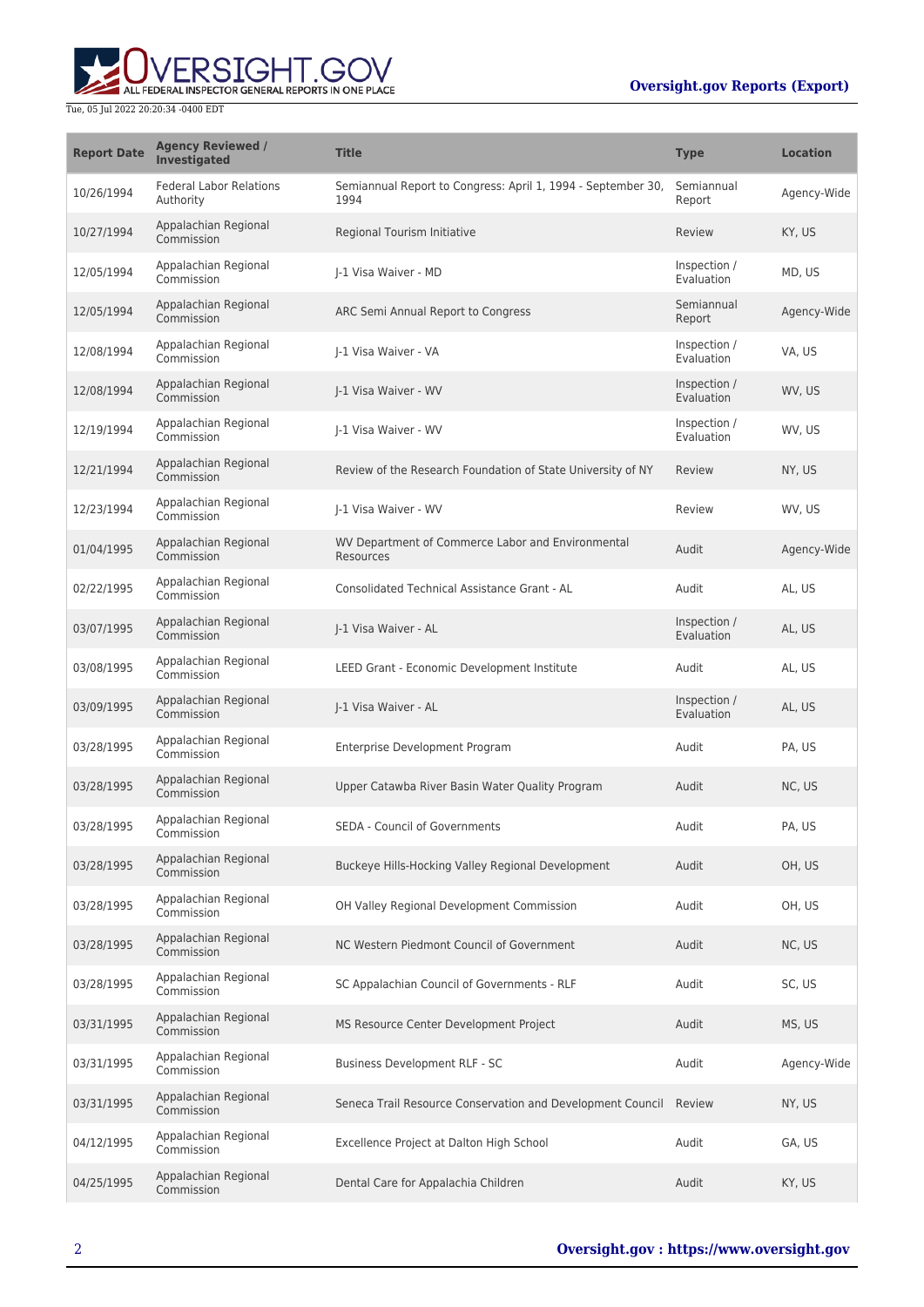# **Oversight.gov Reports (Export)**



| <b>Report Date</b> | <b>Agency Reviewed /</b><br><b>Investigated</b> | <b>Title</b>                                                         | <b>Type</b>                | <b>Location</b> |
|--------------------|-------------------------------------------------|----------------------------------------------------------------------|----------------------------|-----------------|
| 10/26/1994         | <b>Federal Labor Relations</b><br>Authority     | Semiannual Report to Congress: April 1, 1994 - September 30,<br>1994 | Semiannual<br>Report       | Agency-Wide     |
| 10/27/1994         | Appalachian Regional<br>Commission              | Regional Tourism Initiative                                          | Review                     | KY, US          |
| 12/05/1994         | Appalachian Regional<br>Commission              | I-1 Visa Waiver - MD                                                 | Inspection /<br>Evaluation | MD, US          |
| 12/05/1994         | Appalachian Regional<br>Commission              | ARC Semi Annual Report to Congress                                   | Semiannual<br>Report       | Agency-Wide     |
| 12/08/1994         | Appalachian Regional<br>Commission              | I-1 Visa Waiver - VA                                                 | Inspection /<br>Evaluation | VA, US          |
| 12/08/1994         | Appalachian Regional<br>Commission              | I-1 Visa Waiver - WV                                                 | Inspection /<br>Evaluation | WV, US          |
| 12/19/1994         | Appalachian Regional<br>Commission              | I-1 Visa Waiver - WV                                                 | Inspection /<br>Evaluation | WV, US          |
| 12/21/1994         | Appalachian Regional<br>Commission              | Review of the Research Foundation of State University of NY          | Review                     | NY, US          |
| 12/23/1994         | Appalachian Regional<br>Commission              | I-1 Visa Waiver - WV                                                 | Review                     | WV, US          |
| 01/04/1995         | Appalachian Regional<br>Commission              | WV Department of Commerce Labor and Environmental<br>Resources       | Audit                      | Agency-Wide     |
| 02/22/1995         | Appalachian Regional<br>Commission              | Consolidated Technical Assistance Grant - AL                         | Audit                      | AL, US          |
| 03/07/1995         | Appalachian Regional<br>Commission              | J-1 Visa Waiver - AL                                                 | Inspection /<br>Evaluation | AL, US          |
| 03/08/1995         | Appalachian Regional<br>Commission              | LEED Grant - Economic Development Institute                          | Audit                      | AL, US          |
| 03/09/1995         | Appalachian Regional<br>Commission              | J-1 Visa Waiver - AL                                                 | Inspection /<br>Evaluation | AL, US          |
| 03/28/1995         | Appalachian Regional<br>Commission              | Enterprise Development Program                                       | Audit                      | PA, US          |
| 03/28/1995         | Appalachian Regional<br>Commission              | Upper Catawba River Basin Water Quality Program                      | Audit                      | NC, US          |
| 03/28/1995         | Appalachian Regional<br>Commission              | SEDA - Council of Governments                                        | Audit                      | PA, US          |
| 03/28/1995         | Appalachian Regional<br>Commission              | Buckeye Hills-Hocking Valley Regional Development                    | Audit                      | OH, US          |
| 03/28/1995         | Appalachian Regional<br>Commission              | OH Valley Regional Development Commission                            | Audit                      | OH, US          |
| 03/28/1995         | Appalachian Regional<br>Commission              | NC Western Piedmont Council of Government                            | Audit                      | NC, US          |
| 03/28/1995         | Appalachian Regional<br>Commission              | SC Appalachian Council of Governments - RLF                          | Audit                      | SC, US          |
| 03/31/1995         | Appalachian Regional<br>Commission              | MS Resource Center Development Project                               | Audit                      | MS, US          |
| 03/31/1995         | Appalachian Regional<br>Commission              | Business Development RLF - SC                                        | Audit                      | Agency-Wide     |
| 03/31/1995         | Appalachian Regional<br>Commission              | Seneca Trail Resource Conservation and Development Council           | Review                     | NY, US          |
| 04/12/1995         | Appalachian Regional<br>Commission              | Excellence Project at Dalton High School                             | Audit                      | GA, US          |
| 04/25/1995         | Appalachian Regional<br>Commission              | Dental Care for Appalachia Children                                  | Audit                      | KY, US          |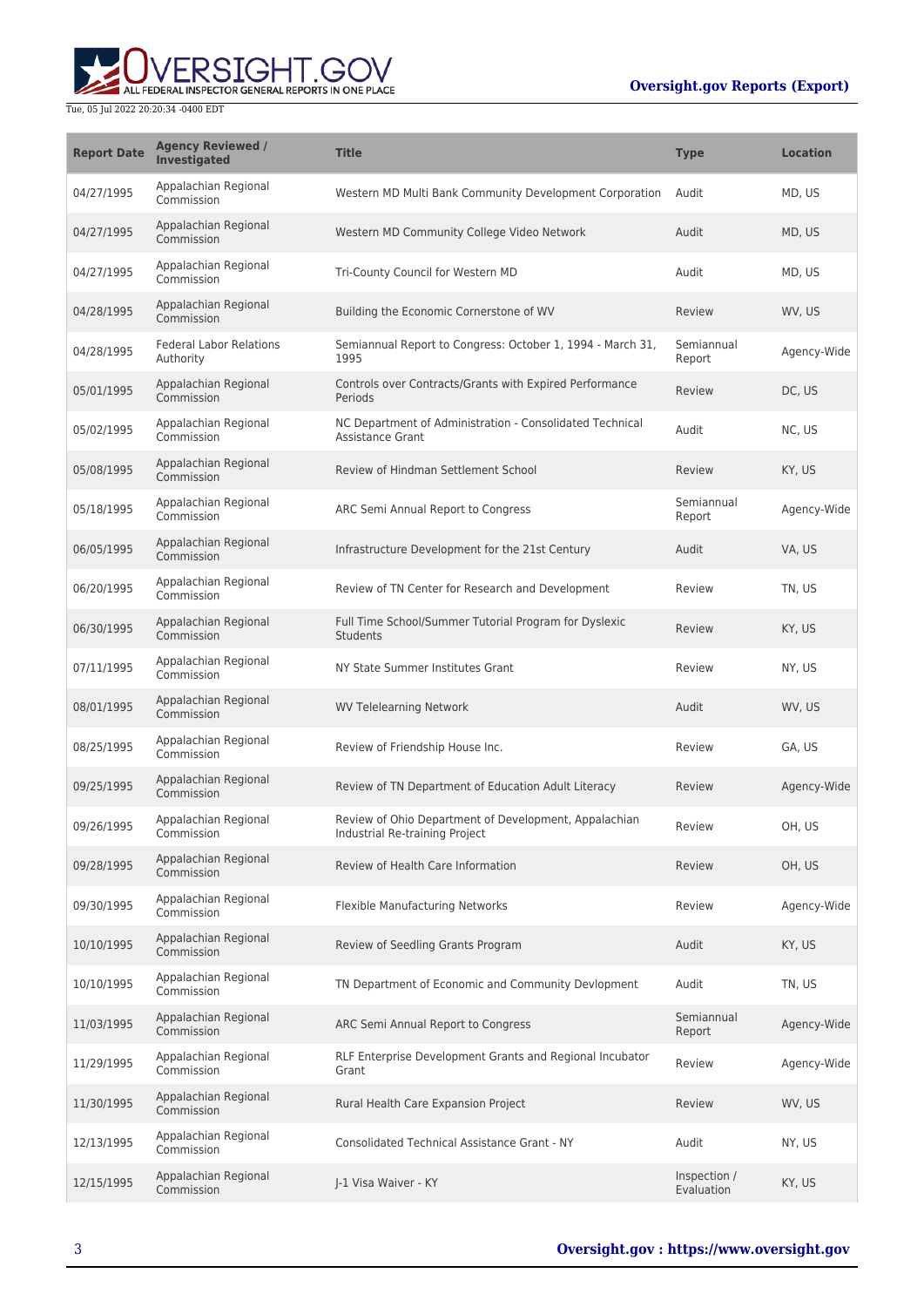# **Oversight.gov Reports (Export)**



| <b>Report Date</b> | <b>Agency Reviewed /</b><br><b>Investigated</b> | <b>Title</b>                                                                            | <b>Type</b>                | <b>Location</b> |
|--------------------|-------------------------------------------------|-----------------------------------------------------------------------------------------|----------------------------|-----------------|
| 04/27/1995         | Appalachian Regional<br>Commission              | Western MD Multi Bank Community Development Corporation                                 | Audit                      | MD, US          |
| 04/27/1995         | Appalachian Regional<br>Commission              | Western MD Community College Video Network                                              | Audit                      | MD, US          |
| 04/27/1995         | Appalachian Regional<br>Commission              | Tri-County Council for Western MD                                                       | Audit                      | MD, US          |
| 04/28/1995         | Appalachian Regional<br>Commission              | Building the Economic Cornerstone of WV                                                 | Review                     | WV, US          |
| 04/28/1995         | <b>Federal Labor Relations</b><br>Authority     | Semiannual Report to Congress: October 1, 1994 - March 31,<br>1995                      | Semiannual<br>Report       | Agency-Wide     |
| 05/01/1995         | Appalachian Regional<br>Commission              | Controls over Contracts/Grants with Expired Performance<br>Periods                      | Review                     | DC, US          |
| 05/02/1995         | Appalachian Regional<br>Commission              | NC Department of Administration - Consolidated Technical<br><b>Assistance Grant</b>     | Audit                      | NC, US          |
| 05/08/1995         | Appalachian Regional<br>Commission              | Review of Hindman Settlement School                                                     | Review                     | KY, US          |
| 05/18/1995         | Appalachian Regional<br>Commission              | ARC Semi Annual Report to Congress                                                      | Semiannual<br>Report       | Agency-Wide     |
| 06/05/1995         | Appalachian Regional<br>Commission              | Infrastructure Development for the 21st Century                                         | Audit                      | VA, US          |
| 06/20/1995         | Appalachian Regional<br>Commission              | Review of TN Center for Research and Development                                        | Review                     | TN. US          |
| 06/30/1995         | Appalachian Regional<br>Commission              | Full Time School/Summer Tutorial Program for Dyslexic<br>Students                       | Review                     | KY, US          |
| 07/11/1995         | Appalachian Regional<br>Commission              | NY State Summer Institutes Grant                                                        | Review                     | NY, US          |
| 08/01/1995         | Appalachian Regional<br>Commission              | <b>WV Telelearning Network</b>                                                          | Audit                      | WV, US          |
| 08/25/1995         | Appalachian Regional<br>Commission              | Review of Friendship House Inc.                                                         | Review                     | GA, US          |
| 09/25/1995         | Appalachian Regional<br>Commission              | Review of TN Department of Education Adult Literacy                                     | Review                     | Agency-Wide     |
| 09/26/1995         | Appalachian Regional<br>Commission              | Review of Ohio Department of Development, Appalachian<br>Industrial Re-training Project | Review                     | OH, US          |
| 09/28/1995         | Appalachian Regional<br>Commission              | Review of Health Care Information                                                       | Review                     | OH, US          |
| 09/30/1995         | Appalachian Regional<br>Commission              | Flexible Manufacturing Networks                                                         | Review                     | Agency-Wide     |
| 10/10/1995         | Appalachian Regional<br>Commission              | Review of Seedling Grants Program                                                       | Audit                      | KY, US          |
| 10/10/1995         | Appalachian Regional<br>Commission              | TN Department of Economic and Community Devlopment                                      | Audit                      | TN, US          |
| 11/03/1995         | Appalachian Regional<br>Commission              | ARC Semi Annual Report to Congress                                                      | Semiannual<br>Report       | Agency-Wide     |
| 11/29/1995         | Appalachian Regional<br>Commission              | RLF Enterprise Development Grants and Regional Incubator<br>Grant                       | Review                     | Agency-Wide     |
| 11/30/1995         | Appalachian Regional<br>Commission              | Rural Health Care Expansion Project                                                     | Review                     | WV, US          |
| 12/13/1995         | Appalachian Regional<br>Commission              | <b>Consolidated Technical Assistance Grant - NY</b>                                     | Audit                      | NY, US          |
| 12/15/1995         | Appalachian Regional<br>Commission              | J-1 Visa Waiver - KY                                                                    | Inspection /<br>Evaluation | KY, US          |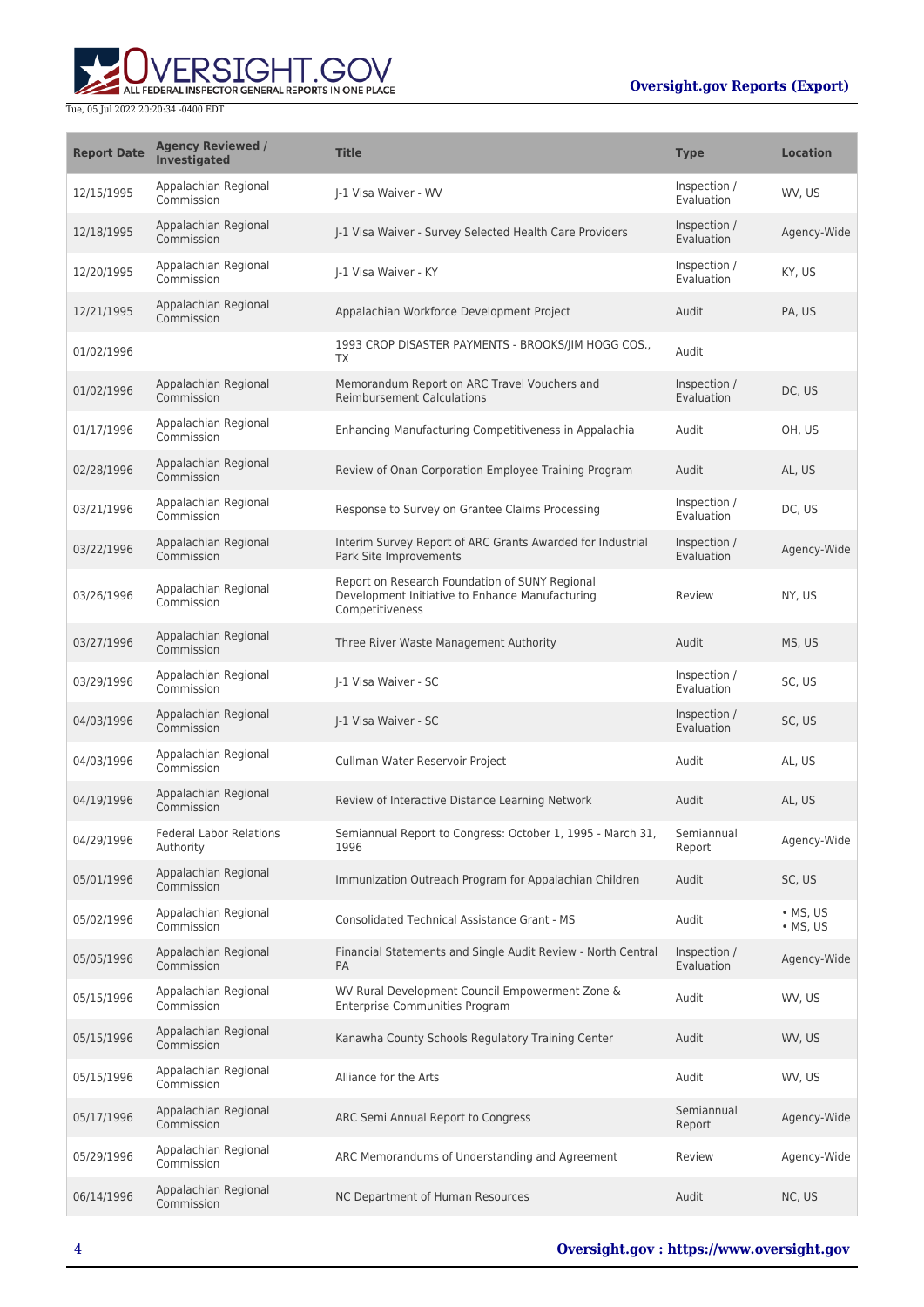

| <b>Report Date</b> | <b>Agency Reviewed /</b><br>Investigated    | <b>Title</b>                                                                                                         | <b>Type</b>                       | <b>Location</b>                      |
|--------------------|---------------------------------------------|----------------------------------------------------------------------------------------------------------------------|-----------------------------------|--------------------------------------|
| 12/15/1995         | Appalachian Regional<br>Commission          | I-1 Visa Waiver - WV                                                                                                 | Inspection /<br>Evaluation        | WV, US                               |
| 12/18/1995         | Appalachian Regional<br>Commission          | I-1 Visa Waiver - Survey Selected Health Care Providers                                                              | Inspection /<br><b>Evaluation</b> | Agency-Wide                          |
| 12/20/1995         | Appalachian Regional<br>Commission          | I-1 Visa Waiver - KY                                                                                                 | Inspection /<br>Evaluation        | KY, US                               |
| 12/21/1995         | Appalachian Regional<br>Commission          | Appalachian Workforce Development Project                                                                            | Audit                             | PA, US                               |
| 01/02/1996         |                                             | 1993 CROP DISASTER PAYMENTS - BROOKS/JIM HOGG COS.,<br>TX.                                                           | Audit                             |                                      |
| 01/02/1996         | Appalachian Regional<br>Commission          | Memorandum Report on ARC Travel Vouchers and<br><b>Reimbursement Calculations</b>                                    | Inspection /<br>Evaluation        | DC, US                               |
| 01/17/1996         | Appalachian Regional<br>Commission          | Enhancing Manufacturing Competitiveness in Appalachia                                                                | Audit                             | OH, US                               |
| 02/28/1996         | Appalachian Regional<br>Commission          | Review of Onan Corporation Employee Training Program                                                                 | Audit                             | AL, US                               |
| 03/21/1996         | Appalachian Regional<br>Commission          | Response to Survey on Grantee Claims Processing                                                                      | Inspection /<br>Evaluation        | DC, US                               |
| 03/22/1996         | Appalachian Regional<br>Commission          | Interim Survey Report of ARC Grants Awarded for Industrial<br>Park Site Improvements                                 | Inspection /<br>Evaluation        | Agency-Wide                          |
| 03/26/1996         | Appalachian Regional<br>Commission          | Report on Research Foundation of SUNY Regional<br>Development Initiative to Enhance Manufacturing<br>Competitiveness | Review                            | NY, US                               |
| 03/27/1996         | Appalachian Regional<br>Commission          | Three River Waste Management Authority                                                                               | Audit                             | MS, US                               |
| 03/29/1996         | Appalachian Regional<br>Commission          | I-1 Visa Waiver - SC                                                                                                 | Inspection /<br>Evaluation        | SC, US                               |
| 04/03/1996         | Appalachian Regional<br>Commission          | J-1 Visa Waiver - SC                                                                                                 | Inspection /<br>Evaluation        | SC, US                               |
| 04/03/1996         | Appalachian Regional<br>Commission          | Cullman Water Reservoir Project                                                                                      | Audit                             | AL, US                               |
| 04/19/1996         | Appalachian Regional<br>Commission          | Review of Interactive Distance Learning Network                                                                      | Audit                             | AL, US                               |
| 04/29/1996         | <b>Federal Labor Relations</b><br>Authority | Semiannual Report to Congress: October 1, 1995 - March 31,<br>1996                                                   | Semiannual<br>Report              | Agency-Wide                          |
| 05/01/1996         | Appalachian Regional<br>Commission          | Immunization Outreach Program for Appalachian Children                                                               | Audit                             | SC, US                               |
| 05/02/1996         | Appalachian Regional<br>Commission          | <b>Consolidated Technical Assistance Grant - MS</b>                                                                  | Audit                             | $\bullet$ MS, US<br>$\bullet$ MS, US |
| 05/05/1996         | Appalachian Regional<br>Commission          | Financial Statements and Single Audit Review - North Central<br><b>PA</b>                                            | Inspection /<br>Evaluation        | Agency-Wide                          |
| 05/15/1996         | Appalachian Regional<br>Commission          | WV Rural Development Council Empowerment Zone &<br><b>Enterprise Communities Program</b>                             | Audit                             | WV, US                               |
| 05/15/1996         | Appalachian Regional<br>Commission          | Kanawha County Schools Regulatory Training Center                                                                    | Audit                             | WV, US                               |
| 05/15/1996         | Appalachian Regional<br>Commission          | Alliance for the Arts                                                                                                | Audit                             | WV, US                               |
| 05/17/1996         | Appalachian Regional<br>Commission          | ARC Semi Annual Report to Congress                                                                                   | Semiannual<br>Report              | Agency-Wide                          |
| 05/29/1996         | Appalachian Regional<br>Commission          | ARC Memorandums of Understanding and Agreement                                                                       | Review                            | Agency-Wide                          |
| 06/14/1996         | Appalachian Regional<br>Commission          | NC Department of Human Resources                                                                                     | Audit                             | NC, US                               |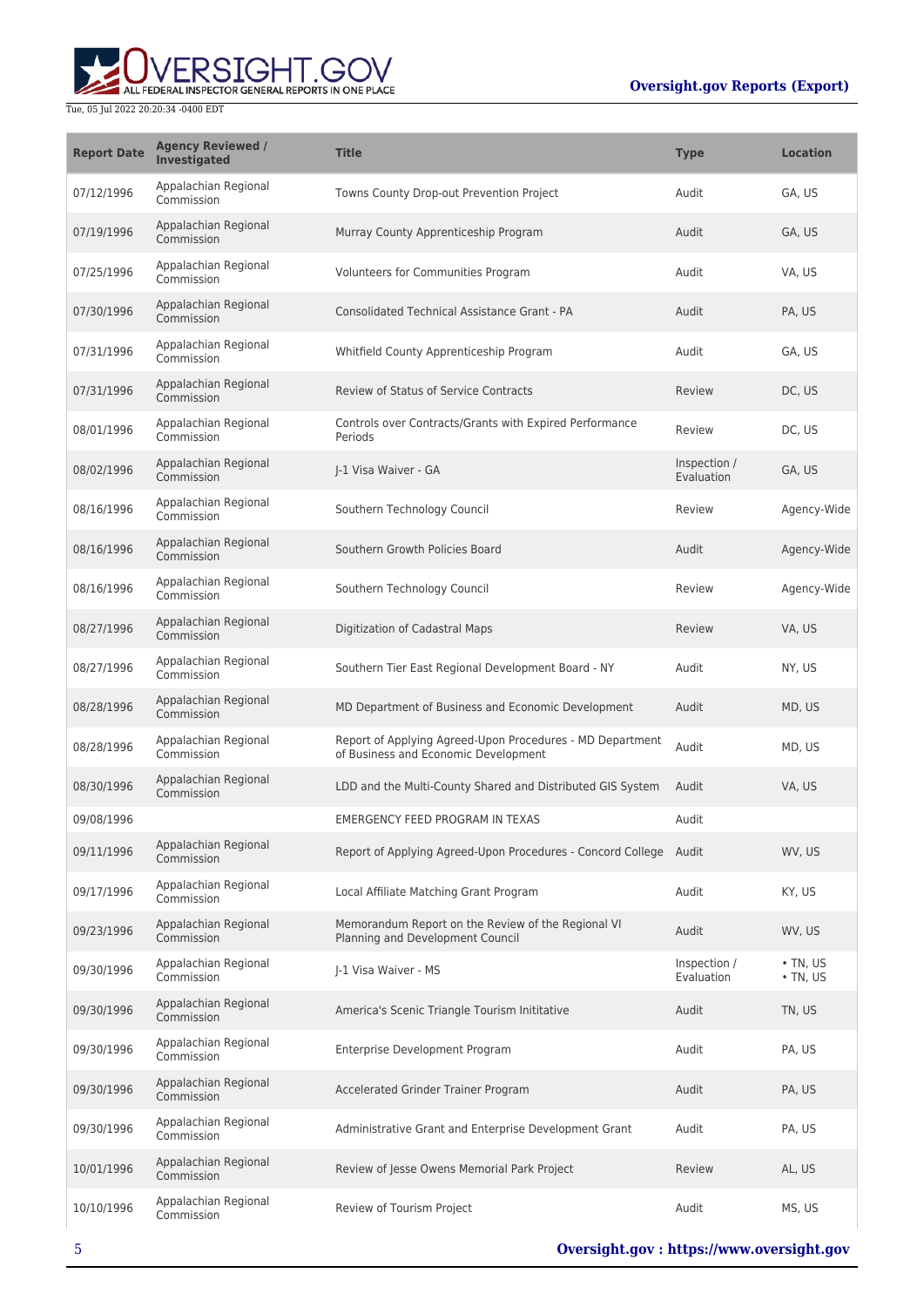

| <b>Report Date</b> | <b>Agency Reviewed /</b><br>Investigated | <b>Title</b>                                                                                      | <b>Type</b>                | <b>Location</b>                  |
|--------------------|------------------------------------------|---------------------------------------------------------------------------------------------------|----------------------------|----------------------------------|
| 07/12/1996         | Appalachian Regional<br>Commission       | Towns County Drop-out Prevention Project                                                          | Audit                      | GA, US                           |
| 07/19/1996         | Appalachian Regional<br>Commission       | Murray County Apprenticeship Program                                                              | Audit                      | GA, US                           |
| 07/25/1996         | Appalachian Regional<br>Commission       | Volunteers for Communities Program                                                                | Audit                      | VA, US                           |
| 07/30/1996         | Appalachian Regional<br>Commission       | Consolidated Technical Assistance Grant - PA                                                      | Audit                      | PA, US                           |
| 07/31/1996         | Appalachian Regional<br>Commission       | Whitfield County Apprenticeship Program                                                           | Audit                      | GA, US                           |
| 07/31/1996         | Appalachian Regional<br>Commission       | <b>Review of Status of Service Contracts</b>                                                      | Review                     | DC, US                           |
| 08/01/1996         | Appalachian Regional<br>Commission       | Controls over Contracts/Grants with Expired Performance<br>Periods                                | Review                     | DC, US                           |
| 08/02/1996         | Appalachian Regional<br>Commission       | I-1 Visa Waiver - GA                                                                              | Inspection /<br>Evaluation | GA, US                           |
| 08/16/1996         | Appalachian Regional<br>Commission       | Southern Technology Council                                                                       | Review                     | Agency-Wide                      |
| 08/16/1996         | Appalachian Regional<br>Commission       | Southern Growth Policies Board                                                                    | Audit                      | Agency-Wide                      |
| 08/16/1996         | Appalachian Regional<br>Commission       | Southern Technology Council                                                                       | Review                     | Agency-Wide                      |
| 08/27/1996         | Appalachian Regional<br>Commission       | Digitization of Cadastral Maps                                                                    | Review                     | VA, US                           |
| 08/27/1996         | Appalachian Regional<br>Commission       | Southern Tier East Regional Development Board - NY                                                | Audit                      | NY, US                           |
| 08/28/1996         | Appalachian Regional<br>Commission       | MD Department of Business and Economic Development                                                | Audit                      | MD, US                           |
| 08/28/1996         | Appalachian Regional<br>Commission       | Report of Applying Agreed-Upon Procedures - MD Department<br>of Business and Economic Development | Audit                      | MD, US                           |
| 08/30/1996         | Appalachian Regional<br>Commission       | LDD and the Multi-County Shared and Distributed GIS System                                        | Audit                      | VA, US                           |
| 09/08/1996         |                                          | EMERGENCY FEED PROGRAM IN TEXAS                                                                   | Audit                      |                                  |
| 09/11/1996         | Appalachian Regional<br>Commission       | Report of Applying Agreed-Upon Procedures - Concord College Audit                                 |                            | WV. US                           |
| 09/17/1996         | Appalachian Regional<br>Commission       | Local Affiliate Matching Grant Program                                                            | Audit                      | KY, US                           |
| 09/23/1996         | Appalachian Regional<br>Commission       | Memorandum Report on the Review of the Regional VI<br>Planning and Development Council            | Audit                      | WV, US                           |
| 09/30/1996         | Appalachian Regional<br>Commission       | I-1 Visa Waiver - MS                                                                              | Inspection /<br>Evaluation | $\cdot$ TN, US<br>$\cdot$ TN, US |
| 09/30/1996         | Appalachian Regional<br>Commission       | America's Scenic Triangle Tourism Inititative                                                     | Audit                      | TN, US                           |
| 09/30/1996         | Appalachian Regional<br>Commission       | Enterprise Development Program                                                                    | Audit                      | PA, US                           |
| 09/30/1996         | Appalachian Regional<br>Commission       | Accelerated Grinder Trainer Program                                                               | Audit                      | PA, US                           |
| 09/30/1996         | Appalachian Regional<br>Commission       | Administrative Grant and Enterprise Development Grant                                             | Audit                      | PA, US                           |
| 10/01/1996         | Appalachian Regional<br>Commission       | Review of Jesse Owens Memorial Park Project                                                       | Review                     | AL, US                           |
| 10/10/1996         | Appalachian Regional<br>Commission       | Review of Tourism Project                                                                         | Audit                      | MS, US                           |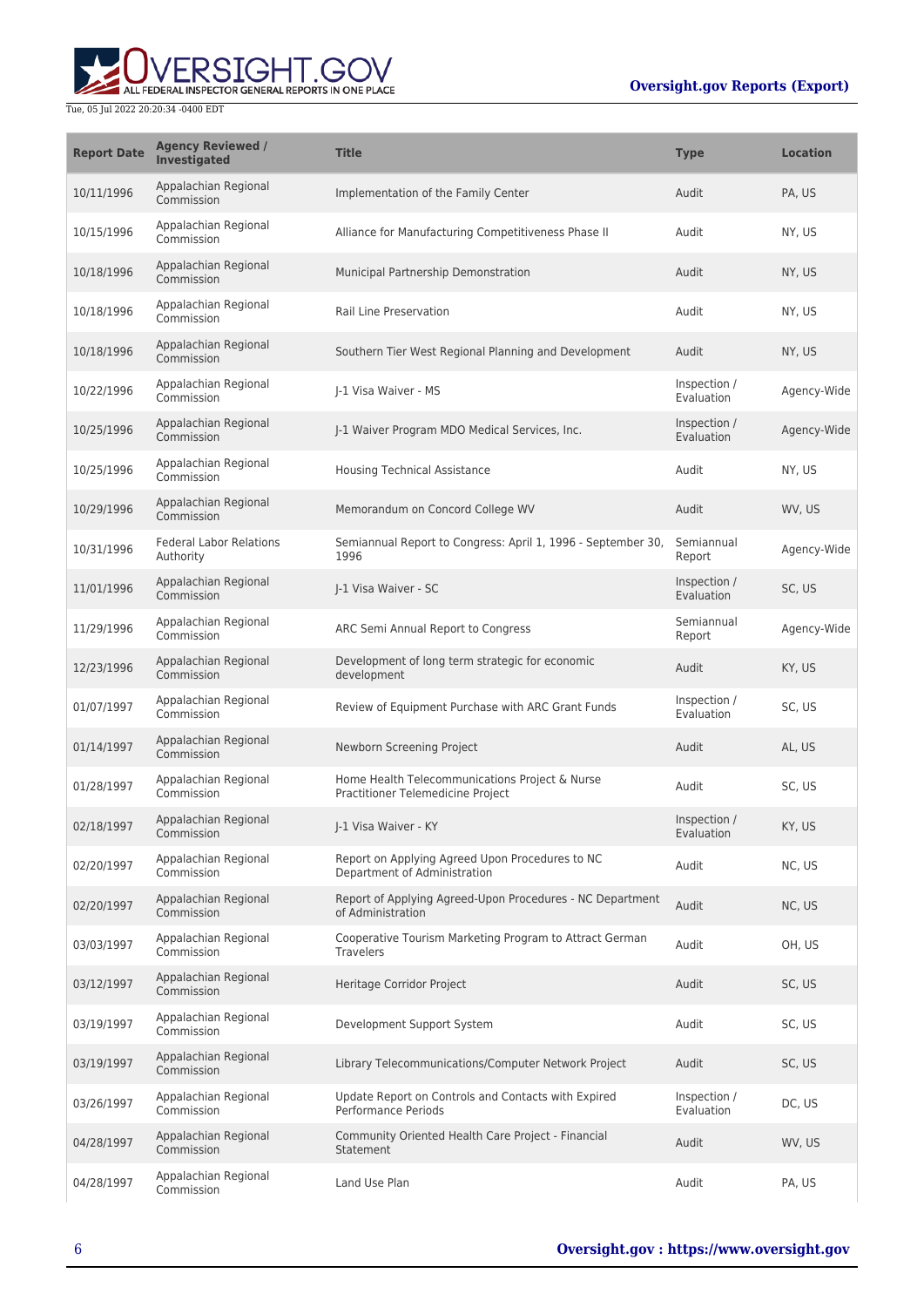

| <b>Report Date</b> | <b>Agency Reviewed /</b><br><b>Investigated</b> | <b>Title</b>                                                                        | <b>Type</b>                | <b>Location</b> |
|--------------------|-------------------------------------------------|-------------------------------------------------------------------------------------|----------------------------|-----------------|
| 10/11/1996         | Appalachian Regional<br>Commission              | Implementation of the Family Center                                                 | Audit                      | PA, US          |
| 10/15/1996         | Appalachian Regional<br>Commission              | Alliance for Manufacturing Competitiveness Phase II                                 | Audit                      | NY, US          |
| 10/18/1996         | Appalachian Regional<br>Commission              | Municipal Partnership Demonstration                                                 | Audit                      | NY, US          |
| 10/18/1996         | Appalachian Regional<br>Commission              | Rail Line Preservation                                                              | Audit                      | NY, US          |
| 10/18/1996         | Appalachian Regional<br>Commission              | Southern Tier West Regional Planning and Development                                | Audit                      | NY, US          |
| 10/22/1996         | Appalachian Regional<br>Commission              | J-1 Visa Waiver - MS                                                                | Inspection /<br>Evaluation | Agency-Wide     |
| 10/25/1996         | Appalachian Regional<br>Commission              | J-1 Waiver Program MDO Medical Services, Inc.                                       | Inspection /<br>Evaluation | Agency-Wide     |
| 10/25/1996         | Appalachian Regional<br>Commission              | <b>Housing Technical Assistance</b>                                                 | Audit                      | NY, US          |
| 10/29/1996         | Appalachian Regional<br>Commission              | Memorandum on Concord College WV                                                    | Audit                      | WV, US          |
| 10/31/1996         | <b>Federal Labor Relations</b><br>Authority     | Semiannual Report to Congress: April 1, 1996 - September 30,<br>1996                | Semiannual<br>Report       | Agency-Wide     |
| 11/01/1996         | Appalachian Regional<br>Commission              | J-1 Visa Waiver - SC                                                                | Inspection /<br>Evaluation | SC, US          |
| 11/29/1996         | Appalachian Regional<br>Commission              | ARC Semi Annual Report to Congress                                                  | Semiannual<br>Report       | Agency-Wide     |
| 12/23/1996         | Appalachian Regional<br>Commission              | Development of long term strategic for economic<br>development                      | Audit                      | KY, US          |
| 01/07/1997         | Appalachian Regional<br>Commission              | Review of Equipment Purchase with ARC Grant Funds                                   | Inspection /<br>Evaluation | SC, US          |
| 01/14/1997         | Appalachian Regional<br>Commission              | Newborn Screening Project                                                           | Audit                      | AL, US          |
| 01/28/1997         | Appalachian Regional<br>Commission              | Home Health Telecommunications Project & Nurse<br>Practitioner Telemedicine Project | Audit                      | SC, US          |
| 02/18/1997         | Appalachian Regional<br>Commission              | J-1 Visa Waiver - KY                                                                | Inspection /<br>Evaluation | KY, US          |
| 02/20/1997         | Appalachian Regional<br>Commission              | Report on Applying Agreed Upon Procedures to NC<br>Department of Administration     | Audit                      | NC, US          |
| 02/20/1997         | Appalachian Regional<br>Commission              | Report of Applying Agreed-Upon Procedures - NC Department<br>of Administration      | Audit                      | NC, US          |
| 03/03/1997         | Appalachian Regional<br>Commission              | Cooperative Tourism Marketing Program to Attract German<br><b>Travelers</b>         | Audit                      | OH, US          |
| 03/12/1997         | Appalachian Regional<br>Commission              | Heritage Corridor Project                                                           | Audit                      | SC, US          |
| 03/19/1997         | Appalachian Regional<br>Commission              | Development Support System                                                          | Audit                      | SC, US          |
| 03/19/1997         | Appalachian Regional<br>Commission              | Library Telecommunications/Computer Network Project                                 | Audit                      | SC, US          |
| 03/26/1997         | Appalachian Regional<br>Commission              | Update Report on Controls and Contacts with Expired<br><b>Performance Periods</b>   | Inspection /<br>Evaluation | DC, US          |
| 04/28/1997         | Appalachian Regional<br>Commission              | Community Oriented Health Care Project - Financial<br>Statement                     | Audit                      | WV, US          |
| 04/28/1997         | Appalachian Regional<br>Commission              | Land Use Plan                                                                       | Audit                      | PA, US          |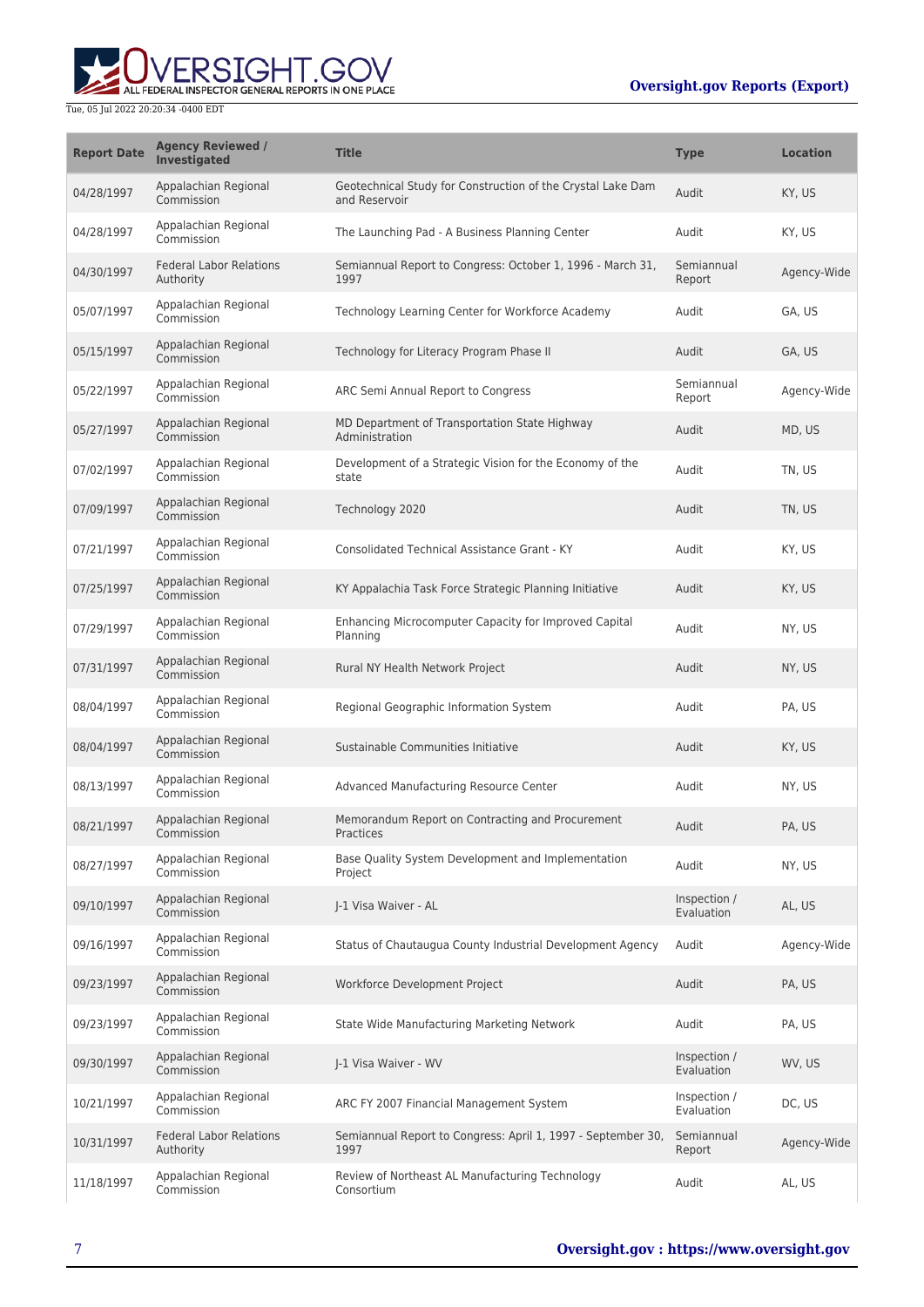# ALL FEDERAL INSPECTOR GENERAL REPORTS IN ONE PLACE Tue, 05 Jul 2022 20:20:34 -0400 EDT

| <b>Report Date</b> | <b>Agency Reviewed /</b><br><b>Investigated</b> | <b>Title</b>                                                                 | <b>Type</b>                | <b>Location</b> |
|--------------------|-------------------------------------------------|------------------------------------------------------------------------------|----------------------------|-----------------|
| 04/28/1997         | Appalachian Regional<br>Commission              | Geotechnical Study for Construction of the Crystal Lake Dam<br>and Reservoir | Audit                      | KY, US          |
| 04/28/1997         | Appalachian Regional<br>Commission              | The Launching Pad - A Business Planning Center                               | Audit                      | KY, US          |
| 04/30/1997         | <b>Federal Labor Relations</b><br>Authority     | Semiannual Report to Congress: October 1, 1996 - March 31,<br>1997           | Semiannual<br>Report       | Agency-Wide     |
| 05/07/1997         | Appalachian Regional<br>Commission              | Technology Learning Center for Workforce Academy                             | Audit                      | GA, US          |
| 05/15/1997         | Appalachian Regional<br>Commission              | Technology for Literacy Program Phase II                                     | Audit                      | GA, US          |
| 05/22/1997         | Appalachian Regional<br>Commission              | ARC Semi Annual Report to Congress                                           | Semiannual<br>Report       | Agency-Wide     |
| 05/27/1997         | Appalachian Regional<br>Commission              | MD Department of Transportation State Highway<br>Administration              | Audit                      | MD, US          |
| 07/02/1997         | Appalachian Regional<br>Commission              | Development of a Strategic Vision for the Economy of the<br>state            | Audit                      | TN, US          |
| 07/09/1997         | Appalachian Regional<br>Commission              | Technology 2020                                                              | Audit                      | TN, US          |
| 07/21/1997         | Appalachian Regional<br>Commission              | <b>Consolidated Technical Assistance Grant - KY</b>                          | Audit                      | KY, US          |
| 07/25/1997         | Appalachian Regional<br>Commission              | KY Appalachia Task Force Strategic Planning Initiative                       | Audit                      | KY, US          |
| 07/29/1997         | Appalachian Regional<br>Commission              | Enhancing Microcomputer Capacity for Improved Capital<br>Planning            | Audit                      | NY, US          |
| 07/31/1997         | Appalachian Regional<br>Commission              | Rural NY Health Network Project                                              | Audit                      | NY, US          |
| 08/04/1997         | Appalachian Regional<br>Commission              | Regional Geographic Information System                                       | Audit                      | PA, US          |
| 08/04/1997         | Appalachian Regional<br>Commission              | Sustainable Communities Initiative                                           | Audit                      | KY, US          |
| 08/13/1997         | Appalachian Regional<br>Commission              | Advanced Manufacturing Resource Center                                       | Audit                      | NY, US          |
| 08/21/1997         | Appalachian Regional<br>Commission              | Memorandum Report on Contracting and Procurement<br>Practices                | Audit                      | PA, US          |
| 08/27/1997         | Appalachian Regional<br>Commission              | Base Quality System Development and Implementation<br>Project                | Audit                      | NY, US          |
| 09/10/1997         | Appalachian Regional<br>Commission              | J-1 Visa Waiver - AL                                                         | Inspection /<br>Evaluation | AL, US          |
| 09/16/1997         | Appalachian Regional<br>Commission              | Status of Chautaugua County Industrial Development Agency                    | Audit                      | Agency-Wide     |
| 09/23/1997         | Appalachian Regional<br>Commission              | Workforce Development Project                                                | Audit                      | PA, US          |
| 09/23/1997         | Appalachian Regional<br>Commission              | State Wide Manufacturing Marketing Network                                   | Audit                      | PA, US          |
| 09/30/1997         | Appalachian Regional<br>Commission              | J-1 Visa Waiver - WV                                                         | Inspection /<br>Evaluation | WV, US          |
| 10/21/1997         | Appalachian Regional<br>Commission              | ARC FY 2007 Financial Management System                                      | Inspection /<br>Evaluation | DC, US          |
| 10/31/1997         | <b>Federal Labor Relations</b><br>Authority     | Semiannual Report to Congress: April 1, 1997 - September 30,<br>1997         | Semiannual<br>Report       | Agency-Wide     |
| 11/18/1997         | Appalachian Regional<br>Commission              | Review of Northeast AL Manufacturing Technology<br>Consortium                | Audit                      | AL, US          |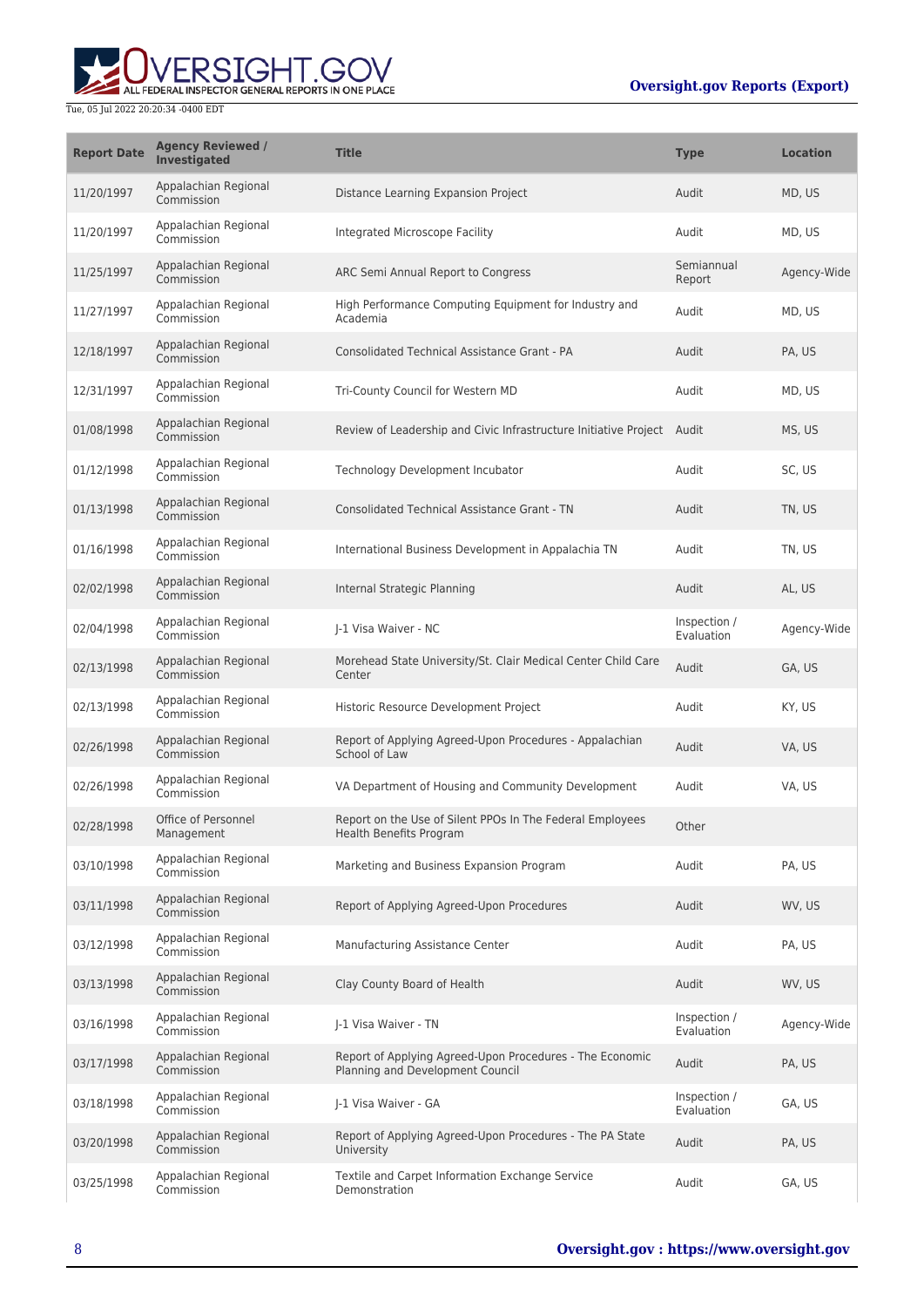

| <b>Report Date</b> | <b>Agency Reviewed /</b><br>Investigated | <b>Title</b>                                                                                 | <b>Type</b>                | <b>Location</b> |
|--------------------|------------------------------------------|----------------------------------------------------------------------------------------------|----------------------------|-----------------|
| 11/20/1997         | Appalachian Regional<br>Commission       | Distance Learning Expansion Project                                                          | Audit                      | MD, US          |
| 11/20/1997         | Appalachian Regional<br>Commission       | Integrated Microscope Facility                                                               | Audit                      | MD, US          |
| 11/25/1997         | Appalachian Regional<br>Commission       | ARC Semi Annual Report to Congress                                                           | Semiannual<br>Report       | Agency-Wide     |
| 11/27/1997         | Appalachian Regional<br>Commission       | High Performance Computing Equipment for Industry and<br>Academia                            | Audit                      | MD, US          |
| 12/18/1997         | Appalachian Regional<br>Commission       | <b>Consolidated Technical Assistance Grant - PA</b>                                          | Audit                      | PA, US          |
| 12/31/1997         | Appalachian Regional<br>Commission       | Tri-County Council for Western MD                                                            | Audit                      | MD, US          |
| 01/08/1998         | Appalachian Regional<br>Commission       | Review of Leadership and Civic Infrastructure Initiative Project Audit                       |                            | MS, US          |
| 01/12/1998         | Appalachian Regional<br>Commission       | Technology Development Incubator                                                             | Audit                      | SC, US          |
| 01/13/1998         | Appalachian Regional<br>Commission       | <b>Consolidated Technical Assistance Grant - TN</b>                                          | Audit                      | TN, US          |
| 01/16/1998         | Appalachian Regional<br>Commission       | International Business Development in Appalachia TN                                          | Audit                      | TN, US          |
| 02/02/1998         | Appalachian Regional<br>Commission       | Internal Strategic Planning                                                                  | Audit                      | AL, US          |
| 02/04/1998         | Appalachian Regional<br>Commission       | J-1 Visa Waiver - NC                                                                         | Inspection /<br>Evaluation | Agency-Wide     |
| 02/13/1998         | Appalachian Regional<br>Commission       | Morehead State University/St. Clair Medical Center Child Care<br>Center                      | Audit                      | GA, US          |
| 02/13/1998         | Appalachian Regional<br>Commission       | Historic Resource Development Project                                                        | Audit                      | KY, US          |
| 02/26/1998         | Appalachian Regional<br>Commission       | Report of Applying Agreed-Upon Procedures - Appalachian<br>School of Law                     | Audit                      | VA, US          |
| 02/26/1998         | Appalachian Regional<br>Commission       | VA Department of Housing and Community Development                                           | Audit                      | VA, US          |
| 02/28/1998         | Office of Personnel<br>Management        | Report on the Use of Silent PPOs In The Federal Employees<br><b>Health Benefits Program</b>  | Other                      |                 |
| 03/10/1998         | Appalachian Regional<br>Commission       | Marketing and Business Expansion Program                                                     | Audit                      | PA, US          |
| 03/11/1998         | Appalachian Regional<br>Commission       | Report of Applying Agreed-Upon Procedures                                                    | Audit                      | WV, US          |
| 03/12/1998         | Appalachian Regional<br>Commission       | Manufacturing Assistance Center                                                              | Audit                      | PA, US          |
| 03/13/1998         | Appalachian Regional<br>Commission       | Clay County Board of Health                                                                  | Audit                      | WV, US          |
| 03/16/1998         | Appalachian Regional<br>Commission       | J-1 Visa Waiver - TN                                                                         | Inspection /<br>Evaluation | Agency-Wide     |
| 03/17/1998         | Appalachian Regional<br>Commission       | Report of Applying Agreed-Upon Procedures - The Economic<br>Planning and Development Council | Audit                      | PA, US          |
| 03/18/1998         | Appalachian Regional<br>Commission       | J-1 Visa Waiver - GA                                                                         | Inspection /<br>Evaluation | GA, US          |
| 03/20/1998         | Appalachian Regional<br>Commission       | Report of Applying Agreed-Upon Procedures - The PA State<br>University                       | Audit                      | PA, US          |
| 03/25/1998         | Appalachian Regional<br>Commission       | Textile and Carpet Information Exchange Service<br>Demonstration                             | Audit                      | GA, US          |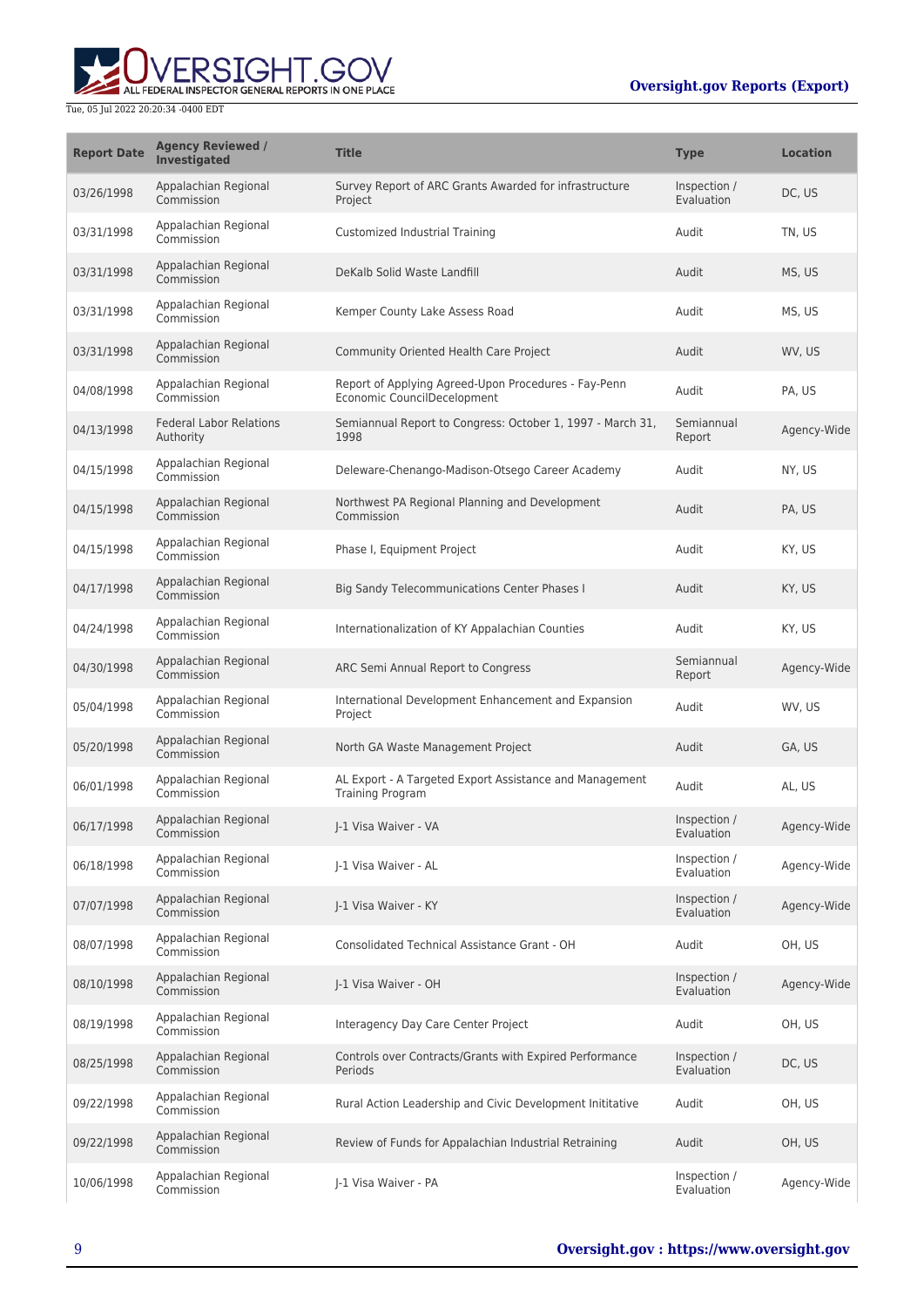

| <b>Report Date</b> | <b>Agency Reviewed /</b><br><b>Investigated</b> | <b>Title</b>                                                                        | <b>Type</b>                | <b>Location</b> |
|--------------------|-------------------------------------------------|-------------------------------------------------------------------------------------|----------------------------|-----------------|
| 03/26/1998         | Appalachian Regional<br>Commission              | Survey Report of ARC Grants Awarded for infrastructure<br>Project                   | Inspection /<br>Evaluation | DC, US          |
| 03/31/1998         | Appalachian Regional<br>Commission              | Customized Industrial Training                                                      | Audit                      | TN, US          |
| 03/31/1998         | Appalachian Regional<br>Commission              | DeKalb Solid Waste Landfill                                                         | Audit                      | MS, US          |
| 03/31/1998         | Appalachian Regional<br>Commission              | Kemper County Lake Assess Road                                                      | Audit                      | MS, US          |
| 03/31/1998         | Appalachian Regional<br>Commission              | Community Oriented Health Care Project                                              | Audit                      | WV, US          |
| 04/08/1998         | Appalachian Regional<br>Commission              | Report of Applying Agreed-Upon Procedures - Fay-Penn<br>Economic CouncilDecelopment | Audit                      | PA, US          |
| 04/13/1998         | <b>Federal Labor Relations</b><br>Authority     | Semiannual Report to Congress: October 1, 1997 - March 31,<br>1998                  | Semiannual<br>Report       | Agency-Wide     |
| 04/15/1998         | Appalachian Regional<br>Commission              | Deleware-Chenango-Madison-Otsego Career Academy                                     | Audit                      | NY, US          |
| 04/15/1998         | Appalachian Regional<br>Commission              | Northwest PA Regional Planning and Development<br>Commission                        | Audit                      | PA, US          |
| 04/15/1998         | Appalachian Regional<br>Commission              | Phase I, Equipment Project                                                          | Audit                      | KY, US          |
| 04/17/1998         | Appalachian Regional<br>Commission              | Big Sandy Telecommunications Center Phases I                                        | Audit                      | KY, US          |
| 04/24/1998         | Appalachian Regional<br>Commission              | Internationalization of KY Appalachian Counties                                     | Audit                      | KY, US          |
| 04/30/1998         | Appalachian Regional<br>Commission              | ARC Semi Annual Report to Congress                                                  | Semiannual<br>Report       | Agency-Wide     |
| 05/04/1998         | Appalachian Regional<br>Commission              | International Development Enhancement and Expansion<br>Project                      | Audit                      | WV, US          |
| 05/20/1998         | Appalachian Regional<br>Commission              | North GA Waste Management Project                                                   | Audit                      | GA, US          |
| 06/01/1998         | Appalachian Regional<br>Commission              | AL Export - A Targeted Export Assistance and Management<br><b>Training Program</b>  | Audit                      | AL, US          |
| 06/17/1998         | Appalachian Regional<br>Commission              | I-1 Visa Waiver - VA                                                                | Inspection /<br>Evaluation | Agency-Wide     |
| 06/18/1998         | Appalachian Regional<br>Commission              | J-1 Visa Waiver - AL                                                                | Inspection /<br>Evaluation | Agency-Wide     |
| 07/07/1998         | Appalachian Regional<br>Commission              | J-1 Visa Waiver - KY                                                                | Inspection /<br>Evaluation | Agency-Wide     |
| 08/07/1998         | Appalachian Regional<br>Commission              | Consolidated Technical Assistance Grant - OH                                        | Audit                      | OH, US          |
| 08/10/1998         | Appalachian Regional<br>Commission              | J-1 Visa Waiver - OH                                                                | Inspection /<br>Evaluation | Agency-Wide     |
| 08/19/1998         | Appalachian Regional<br>Commission              | Interagency Day Care Center Project                                                 | Audit                      | OH, US          |
| 08/25/1998         | Appalachian Regional<br>Commission              | Controls over Contracts/Grants with Expired Performance<br>Periods                  | Inspection /<br>Evaluation | DC, US          |
| 09/22/1998         | Appalachian Regional<br>Commission              | Rural Action Leadership and Civic Development Inititative                           | Audit                      | OH, US          |
| 09/22/1998         | Appalachian Regional<br>Commission              | Review of Funds for Appalachian Industrial Retraining                               | Audit                      | OH, US          |
| 10/06/1998         | Appalachian Regional<br>Commission              | J-1 Visa Waiver - PA                                                                | Inspection /<br>Evaluation | Agency-Wide     |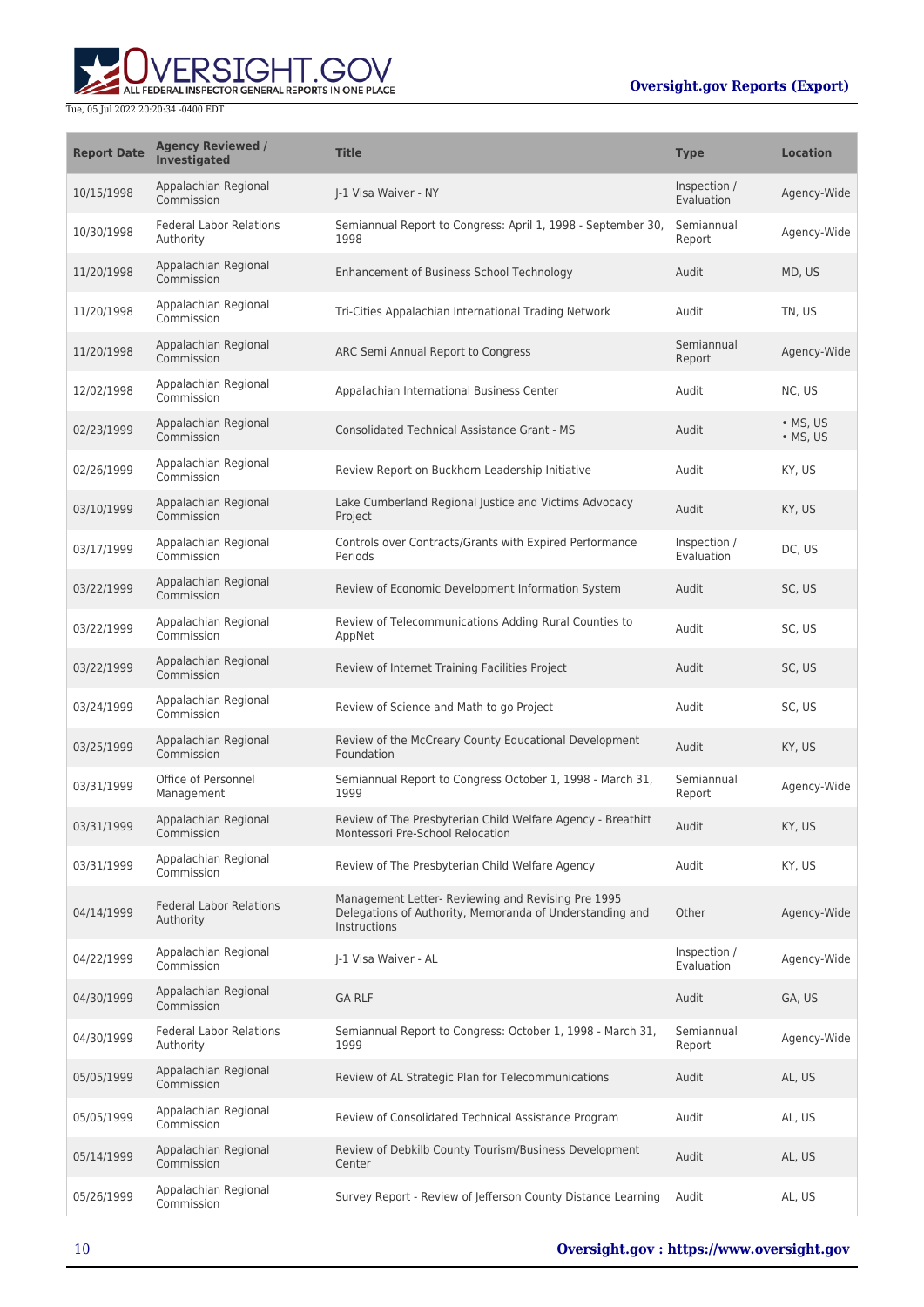# ALL FEDERAL INSPECTOR GENERAL REPORTS IN ONE PLACE

#### Tue, 05 Jul 2022 20:20:34 -0400 EDT

### **Oversight.gov Reports (Export)**

| <b>Report Date</b> | <b>Agency Reviewed /</b><br>Investigated    | <b>Title</b>                                                                                                                   | <b>Type</b>                | <b>Location</b>              |
|--------------------|---------------------------------------------|--------------------------------------------------------------------------------------------------------------------------------|----------------------------|------------------------------|
| 10/15/1998         | Appalachian Regional<br>Commission          | I-1 Visa Waiver - NY                                                                                                           | Inspection /<br>Evaluation | Agency-Wide                  |
| 10/30/1998         | <b>Federal Labor Relations</b><br>Authority | Semiannual Report to Congress: April 1, 1998 - September 30,<br>1998                                                           | Semiannual<br>Report       | Agency-Wide                  |
| 11/20/1998         | Appalachian Regional<br>Commission          | Enhancement of Business School Technology                                                                                      | Audit                      | MD, US                       |
| 11/20/1998         | Appalachian Regional<br>Commission          | Tri-Cities Appalachian International Trading Network                                                                           | Audit                      | TN, US                       |
| 11/20/1998         | Appalachian Regional<br>Commission          | ARC Semi Annual Report to Congress                                                                                             | Semiannual<br>Report       | Agency-Wide                  |
| 12/02/1998         | Appalachian Regional<br>Commission          | Appalachian International Business Center                                                                                      | Audit                      | NC, US                       |
| 02/23/1999         | Appalachian Regional<br>Commission          | <b>Consolidated Technical Assistance Grant - MS</b>                                                                            | Audit                      | $\bullet$ MS, US<br>• MS, US |
| 02/26/1999         | Appalachian Regional<br>Commission          | Review Report on Buckhorn Leadership Initiative                                                                                | Audit                      | KY, US                       |
| 03/10/1999         | Appalachian Regional<br>Commission          | Lake Cumberland Regional Justice and Victims Advocacy<br>Project                                                               | Audit                      | KY, US                       |
| 03/17/1999         | Appalachian Regional<br>Commission          | Controls over Contracts/Grants with Expired Performance<br>Periods                                                             | Inspection /<br>Evaluation | DC, US                       |
| 03/22/1999         | Appalachian Regional<br>Commission          | Review of Economic Development Information System                                                                              | Audit                      | SC, US                       |
| 03/22/1999         | Appalachian Regional<br>Commission          | Review of Telecommunications Adding Rural Counties to<br>AppNet                                                                | Audit                      | SC, US                       |
| 03/22/1999         | Appalachian Regional<br>Commission          | Review of Internet Training Facilities Project                                                                                 | Audit                      | SC, US                       |
| 03/24/1999         | Appalachian Regional<br>Commission          | Review of Science and Math to go Project                                                                                       | Audit                      | SC, US                       |
| 03/25/1999         | Appalachian Regional<br>Commission          | Review of the McCreary County Educational Development<br>Foundation                                                            | Audit                      | KY, US                       |
| 03/31/1999         | Office of Personnel<br>Management           | Semiannual Report to Congress October 1, 1998 - March 31,<br>1999                                                              | Semiannual<br>Report       | Agency-Wide                  |
| 03/31/1999         | Appalachian Regional<br>Commission          | Review of The Presbyterian Child Welfare Agency - Breathitt<br>Montessori Pre-School Relocation                                | Audit                      | KY, US                       |
| 03/31/1999         | Appalachian Regional<br>Commission          | Review of The Presbyterian Child Welfare Agency                                                                                | Audit                      | KY, US                       |
| 04/14/1999         | <b>Federal Labor Relations</b><br>Authority | Management Letter- Reviewing and Revising Pre 1995<br>Delegations of Authority, Memoranda of Understanding and<br>Instructions | Other                      | Agency-Wide                  |
| 04/22/1999         | Appalachian Regional<br>Commission          | J-1 Visa Waiver - AL                                                                                                           | Inspection /<br>Evaluation | Agency-Wide                  |
| 04/30/1999         | Appalachian Regional<br>Commission          | <b>GA RLF</b>                                                                                                                  | Audit                      | GA, US                       |
| 04/30/1999         | <b>Federal Labor Relations</b><br>Authority | Semiannual Report to Congress: October 1, 1998 - March 31,<br>1999                                                             | Semiannual<br>Report       | Agency-Wide                  |
| 05/05/1999         | Appalachian Regional<br>Commission          | Review of AL Strategic Plan for Telecommunications                                                                             | Audit                      | AL, US                       |
| 05/05/1999         | Appalachian Regional<br>Commission          | Review of Consolidated Technical Assistance Program                                                                            | Audit                      | AL, US                       |
| 05/14/1999         | Appalachian Regional<br>Commission          | Review of Debkilb County Tourism/Business Development<br>Center                                                                | Audit                      | AL, US                       |
| 05/26/1999         | Appalachian Regional<br>Commission          | Survey Report - Review of Jefferson County Distance Learning                                                                   | Audit                      | AL, US                       |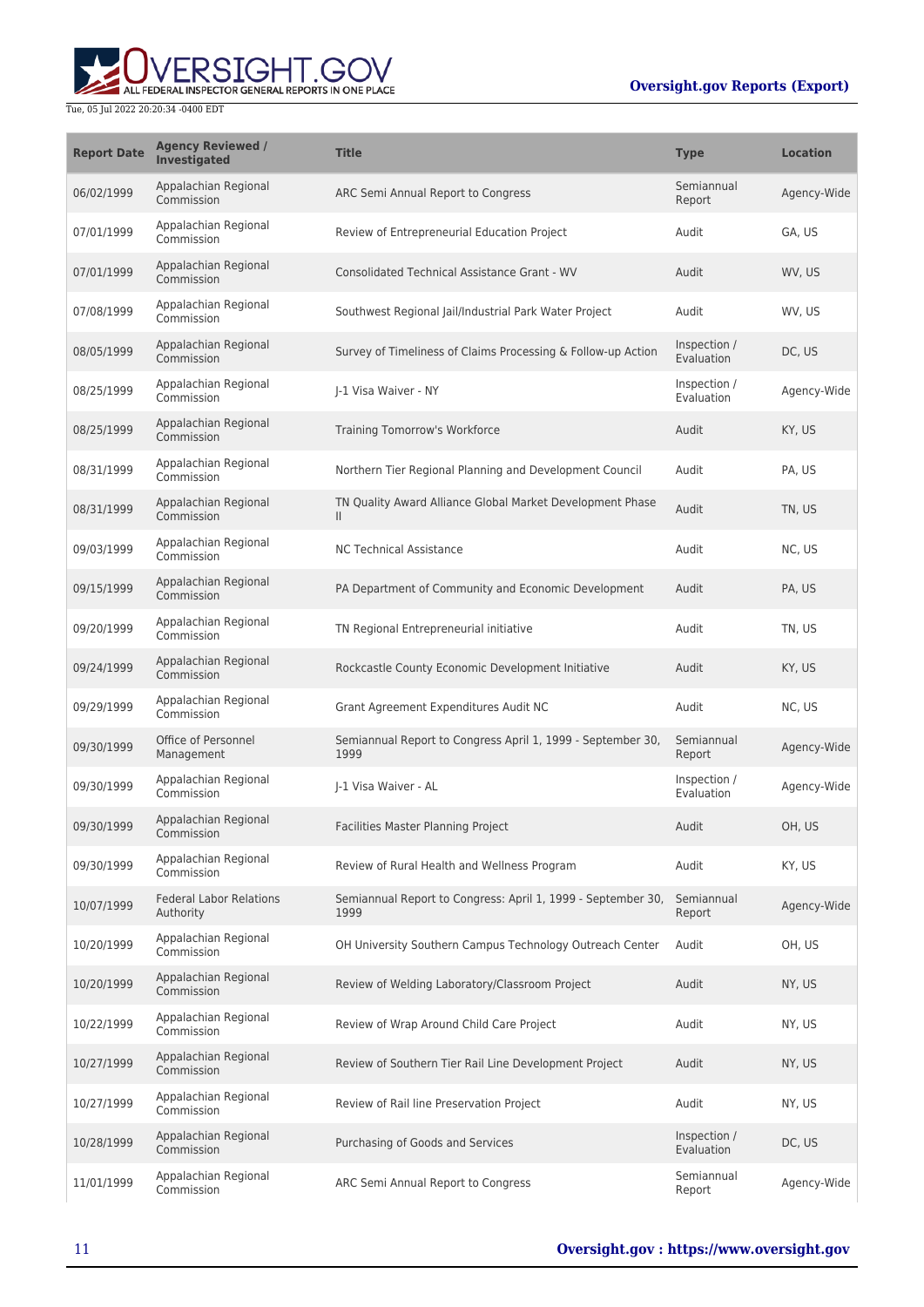

| <b>Report Date</b> | <b>Agency Reviewed /</b><br><b>Investigated</b> | <b>Title</b>                                                              | <b>Type</b>                | <b>Location</b> |
|--------------------|-------------------------------------------------|---------------------------------------------------------------------------|----------------------------|-----------------|
| 06/02/1999         | Appalachian Regional<br>Commission              | ARC Semi Annual Report to Congress                                        | Semiannual<br>Report       | Agency-Wide     |
| 07/01/1999         | Appalachian Regional<br>Commission              | Review of Entrepreneurial Education Project                               | Audit                      | GA, US          |
| 07/01/1999         | Appalachian Regional<br>Commission              | <b>Consolidated Technical Assistance Grant - WV</b>                       | Audit                      | WV, US          |
| 07/08/1999         | Appalachian Regional<br>Commission              | Southwest Regional Jail/Industrial Park Water Project                     | Audit                      | WV, US          |
| 08/05/1999         | Appalachian Regional<br>Commission              | Survey of Timeliness of Claims Processing & Follow-up Action              | Inspection /<br>Evaluation | DC, US          |
| 08/25/1999         | Appalachian Regional<br>Commission              | J-1 Visa Waiver - NY                                                      | Inspection /<br>Evaluation | Agency-Wide     |
| 08/25/1999         | Appalachian Regional<br>Commission              | Training Tomorrow's Workforce                                             | Audit                      | KY, US          |
| 08/31/1999         | Appalachian Regional<br>Commission              | Northern Tier Regional Planning and Development Council                   | Audit                      | PA, US          |
| 08/31/1999         | Appalachian Regional<br>Commission              | TN Quality Award Alliance Global Market Development Phase<br>$\mathbf{H}$ | Audit                      | TN, US          |
| 09/03/1999         | Appalachian Regional<br>Commission              | <b>NC Technical Assistance</b>                                            | Audit                      | NC, US          |
| 09/15/1999         | Appalachian Regional<br>Commission              | PA Department of Community and Economic Development                       | Audit                      | PA, US          |
| 09/20/1999         | Appalachian Regional<br>Commission              | TN Regional Entrepreneurial initiative                                    | Audit                      | TN, US          |
| 09/24/1999         | Appalachian Regional<br>Commission              | Rockcastle County Economic Development Initiative                         | Audit                      | KY, US          |
| 09/29/1999         | Appalachian Regional<br>Commission              | Grant Agreement Expenditures Audit NC                                     | Audit                      | NC, US          |
| 09/30/1999         | Office of Personnel<br>Management               | Semiannual Report to Congress April 1, 1999 - September 30,<br>1999       | Semiannual<br>Report       | Agency-Wide     |
| 09/30/1999         | Appalachian Regional<br>Commission              | J-1 Visa Waiver - AL                                                      | Inspection /<br>Evaluation | Agency-Wide     |
| 09/30/1999         | Appalachian Regional<br>Commission              | Facilities Master Planning Project                                        | Audit                      | OH, US          |
| 09/30/1999         | Appalachian Regional<br>Commission              | Review of Rural Health and Wellness Program                               | Audit                      | KY, US          |
| 10/07/1999         | <b>Federal Labor Relations</b><br>Authority     | Semiannual Report to Congress: April 1, 1999 - September 30,<br>1999      | Semiannual<br>Report       | Agency-Wide     |
| 10/20/1999         | Appalachian Regional<br>Commission              | OH University Southern Campus Technology Outreach Center                  | Audit                      | OH, US          |
| 10/20/1999         | Appalachian Regional<br>Commission              | Review of Welding Laboratory/Classroom Project                            | Audit                      | NY, US          |
| 10/22/1999         | Appalachian Regional<br>Commission              | Review of Wrap Around Child Care Project                                  | Audit                      | NY, US          |
| 10/27/1999         | Appalachian Regional<br>Commission              | Review of Southern Tier Rail Line Development Project                     | Audit                      | NY, US          |
| 10/27/1999         | Appalachian Regional<br>Commission              | Review of Rail line Preservation Project                                  | Audit                      | NY, US          |
| 10/28/1999         | Appalachian Regional<br>Commission              | Purchasing of Goods and Services                                          | Inspection /<br>Evaluation | DC, US          |
| 11/01/1999         | Appalachian Regional<br>Commission              | ARC Semi Annual Report to Congress                                        | Semiannual<br>Report       | Agency-Wide     |